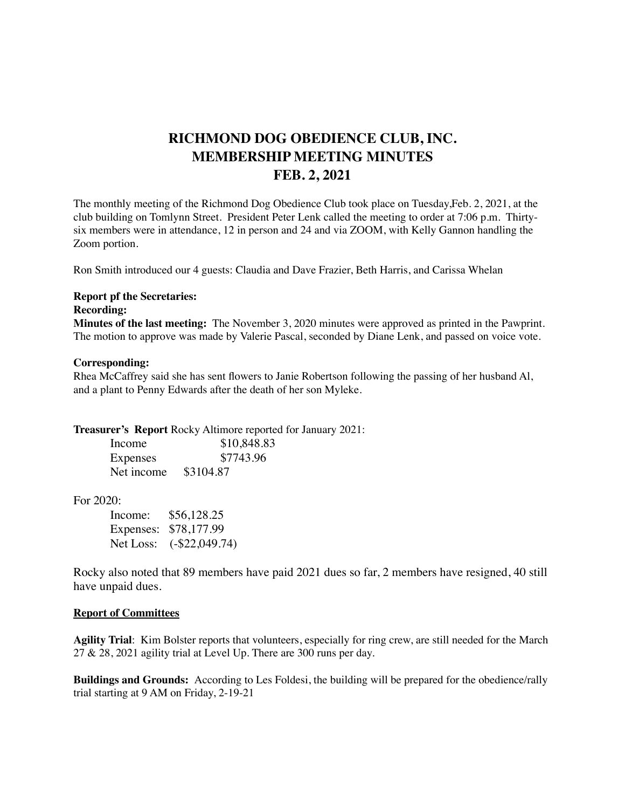# **RICHMOND DOG OBEDIENCE CLUB, INC. MEMBERSHIP MEETING MINUTES FEB. 2, 2021**

The monthly meeting of the Richmond Dog Obedience Club took place on Tuesday,Feb. 2, 2021, at the club building on Tomlynn Street. President Peter Lenk called the meeting to order at 7:06 p.m. Thirtysix members were in attendance, 12 in person and 24 and via ZOOM, with Kelly Gannon handling the Zoom portion.

Ron Smith introduced our 4 guests: Claudia and Dave Frazier, Beth Harris, and Carissa Whelan

### **Report pf the Secretaries:**

#### **Recording:**

**Minutes of the last meeting:** The November 3, 2020 minutes were approved as printed in the Pawprint. The motion to approve was made by Valerie Pascal, seconded by Diane Lenk, and passed on voice vote.

#### **Corresponding:**

Rhea McCaffrey said she has sent flowers to Janie Robertson following the passing of her husband Al, and a plant to Penny Edwards after the death of her son Myleke.

**Treasurer's Report** Rocky Altimore reported for January 2021:

| Income     | \$10,848.83 |
|------------|-------------|
| Expenses   | \$7743.96   |
| Net income | \$3104.87   |

## For 2020:

| Income: | \$56,128.25              |
|---------|--------------------------|
|         | Expenses: \$78,177.99    |
|         | Net Loss: (-\$22,049.74) |

Rocky also noted that 89 members have paid 2021 dues so far, 2 members have resigned, 40 still have unpaid dues.

#### **Report of Committees**

**Agility Trial**: Kim Bolster reports that volunteers, especially for ring crew, are still needed for the March  $27 \& 28$ , 2021 agility trial at Level Up. There are 300 runs per day.

**Buildings and Grounds:** According to Les Foldesi, the building will be prepared for the obedience/rally trial starting at 9 AM on Friday, 2-19-21